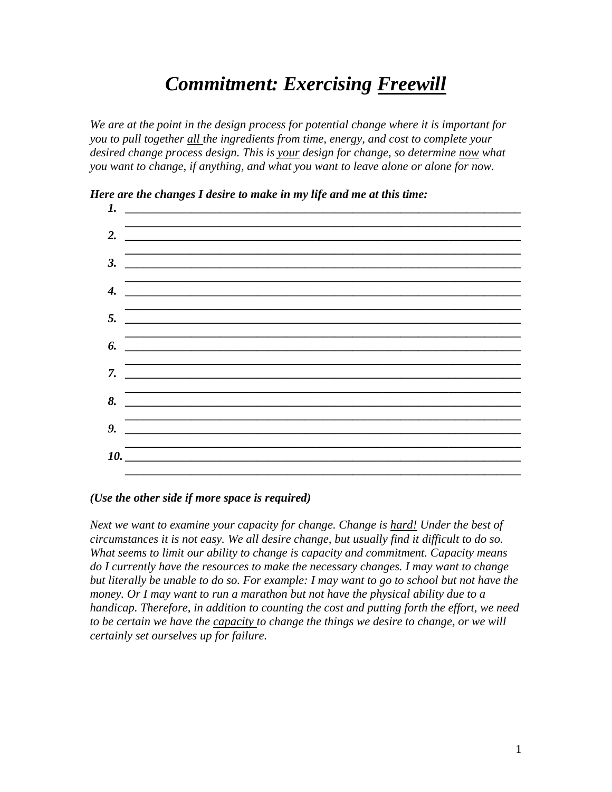## *Commitment: Exercising Freewill*

*We are at the point in the design process for potential change where it is important for you to pull together all the ingredients from time, energy, and cost to complete your desired change process design. This is your design for change, so determine now what you want to change, if anything, and what you want to leave alone or alone for now.*



*Here are the changes I desire to make in my life and me at this time:*

## *(Use the other side if more space is required)*

*Next we want to examine your capacity for change. Change is hard! Under the best of circumstances it is not easy. We all desire change, but usually find it difficult to do so. What seems to limit our ability to change is capacity and commitment. Capacity means do I currently have the resources to make the necessary changes. I may want to change but literally be unable to do so. For example: I may want to go to school but not have the money. Or I may want to run a marathon but not have the physical ability due to a handicap. Therefore, in addition to counting the cost and putting forth the effort, we need*  to be certain we have the capacity to change the things we desire to change, or we will *certainly set ourselves up for failure.*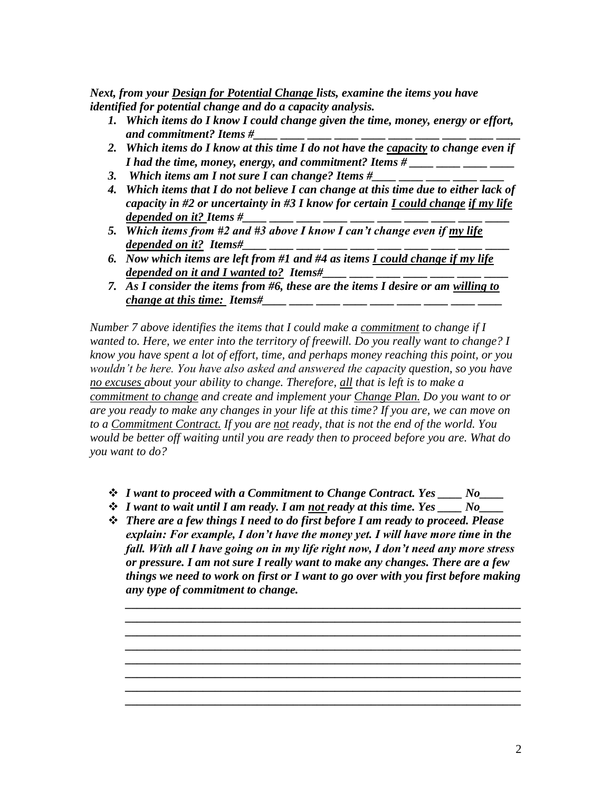*Next, from your Design for Potential Change lists, examine the items you have identified for potential change and do a capacity analysis.*

- *1. Which items do I know I could change given the time, money, energy or effort, and commitment? Items #\_\_\_\_ \_\_\_\_ \_\_\_\_ \_\_\_\_ \_\_\_\_ \_\_\_\_ \_\_\_\_ \_\_\_\_ \_\_\_\_ \_\_\_\_*
- *2. Which items do I know at this time I do not have the capacity to change even if I had the time, money, energy, and commitment? Items #*  $\frac{1}{\sqrt{2}}$  *\_\_\_\_ \_\_\_*
- *3. Which items am I not sure I can change? Items #\_\_\_\_ \_\_\_\_ \_\_\_\_ \_\_\_\_ \_\_\_\_*
- *4. Which items that I do not believe I can change at this time due to either lack of capacity in #2 or uncertainty in #3 I know for certain I could change if my life depended on it? Items #\_\_\_\_ \_\_\_\_ \_\_\_\_ \_\_\_\_* \_\_\_\_
- *5. Which items from #2 and #3 above I know I can't change even if my life depended on it? Items#\_\_\_\_ \_\_\_\_ \_\_\_\_ \_\_\_\_ \_\_\_\_ \_\_\_\_ \_\_\_\_ \_\_\_\_ \_\_\_\_ \_\_\_\_*
- *6. Now which items are left from #1 and #4 as items I could change if my life depended on it and I wanted to? Items#\_\_\_\_ \_\_\_\_ \_\_\_\_ \_\_\_\_ \_\_\_\_ \_\_\_\_ \_\_\_\_*
- *7. As I consider the items from #6, these are the items I desire or am willing to change at this time: Items#\_\_\_\_ \_\_\_\_ \_\_\_\_ \_\_\_\_ \_\_\_\_ \_\_\_\_ \_\_\_\_ \_\_\_\_ \_\_\_\_*

*Number 7 above identifies the items that I could make a commitment to change if I wanted to. Here, we enter into the territory of freewill. Do you really want to change? I know you have spent a lot of effort, time, and perhaps money reaching this point, or you wouldn't be here. You have also asked and answered the capacity question, so you have no excuses about your ability to change. Therefore, all that is left is to make a commitment to change and create and implement your Change Plan. Do you want to or are you ready to make any changes in your life at this time? If you are, we can move on to a Commitment Contract. If you are not ready, that is not the end of the world. You would be better off waiting until you are ready then to proceed before you are. What do you want to do?*

- *I want to proceed with a Commitment to Change Contract. Yes \_\_\_\_ No\_\_\_\_*
- *I want to wait until I am ready. I am not ready at this time. Yes \_\_\_\_ No\_\_\_\_*
- *There are a few things I need to do first before I am ready to proceed. Please explain: For example, I don't have the money yet. I will have more time in the fall. With all I have going on in my life right now, I don't need any more stress or pressure. I am not sure I really want to make any changes. There are a few things we need to work on first or I want to go over with you first before making any type of commitment to change.*

*\_\_\_\_\_\_\_\_\_\_\_\_\_\_\_\_\_\_\_\_\_\_\_\_\_\_\_\_\_\_\_\_\_\_\_\_\_\_\_\_\_\_\_\_\_\_\_\_\_\_\_\_\_\_\_\_\_\_\_\_\_\_\_\_\_\_ \_\_\_\_\_\_\_\_\_\_\_\_\_\_\_\_\_\_\_\_\_\_\_\_\_\_\_\_\_\_\_\_\_\_\_\_\_\_\_\_\_\_\_\_\_\_\_\_\_\_\_\_\_\_\_\_\_\_\_\_\_\_\_\_\_\_ \_\_\_\_\_\_\_\_\_\_\_\_\_\_\_\_\_\_\_\_\_\_\_\_\_\_\_\_\_\_\_\_\_\_\_\_\_\_\_\_\_\_\_\_\_\_\_\_\_\_\_\_\_\_\_\_\_\_\_\_\_\_\_\_\_\_ \_\_\_\_\_\_\_\_\_\_\_\_\_\_\_\_\_\_\_\_\_\_\_\_\_\_\_\_\_\_\_\_\_\_\_\_\_\_\_\_\_\_\_\_\_\_\_\_\_\_\_\_\_\_\_\_\_\_\_\_\_\_\_\_\_\_*

*\_\_\_\_\_\_\_\_\_\_\_\_\_\_\_\_\_\_\_\_\_\_\_\_\_\_\_\_\_\_\_\_\_\_\_\_\_\_\_\_\_\_\_\_\_\_\_\_\_\_\_\_\_\_\_\_\_\_\_\_\_\_\_\_\_\_ \_\_\_\_\_\_\_\_\_\_\_\_\_\_\_\_\_\_\_\_\_\_\_\_\_\_\_\_\_\_\_\_\_\_\_\_\_\_\_\_\_\_\_\_\_\_\_\_\_\_\_\_\_\_\_\_\_\_\_\_\_\_\_\_\_\_ \_\_\_\_\_\_\_\_\_\_\_\_\_\_\_\_\_\_\_\_\_\_\_\_\_\_\_\_\_\_\_\_\_\_\_\_\_\_\_\_\_\_\_\_\_\_\_\_\_\_\_\_\_\_\_\_\_\_\_\_\_\_\_\_\_\_*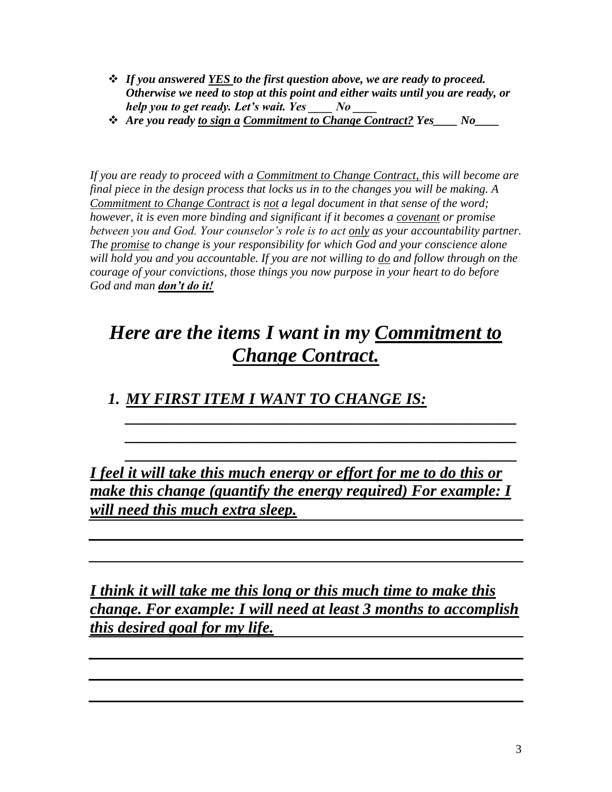- *If you answered YES to the first question above, we are ready to proceed. Otherwise we need to stop at this point and either waits until you are ready, or help you to get ready. Let's wait. Yes \_\_\_\_ No \_\_\_\_*
- *Are you ready to sign a Commitment to Change Contract? Yes\_\_\_\_ No\_\_\_\_*

*If you are ready to proceed with a Commitment to Change Contract, this will become are final piece in the design process that locks us in to the changes you will be making. A Commitment to Change Contract is not a legal document in that sense of the word; however, it is even more binding and significant if it becomes a covenant or promise between you and God. Your counselor's role is to act only as your accountability partner. The promise to change is your responsibility for which God and your conscience alone will hold you and you accountable. If you are not willing to do and follow through on the courage of your convictions, those things you now purpose in your heart to do before God and man don't do it!*

## *Here are the items I want in my Commitment to Change Contract.*

*\_\_\_\_\_\_\_\_\_\_\_\_\_\_\_\_\_\_\_\_\_\_\_\_\_\_\_\_\_\_\_\_\_\_\_\_\_\_\_\_\_\_\_\_\_\_\_\_\_ \_\_\_\_\_\_\_\_\_\_\_\_\_\_\_\_\_\_\_\_\_\_\_\_\_\_\_\_\_\_\_\_\_\_\_\_\_\_\_\_\_\_\_\_\_\_\_\_\_ \_\_\_\_\_\_\_\_\_\_\_\_\_\_\_\_\_\_\_\_\_\_\_\_\_\_\_\_\_\_\_\_\_\_\_\_\_\_\_\_\_\_\_\_\_\_\_\_\_*

*1. MY FIRST ITEM I WANT TO CHANGE IS:*

*I feel it will take this much energy or effort for me to do this or make this change (quantify the energy required) For example: I will need this much extra sleep.*

*I think it will take me this long or this much time to make this change. For example: I will need at least 3 months to accomplish this desired goal for my life.*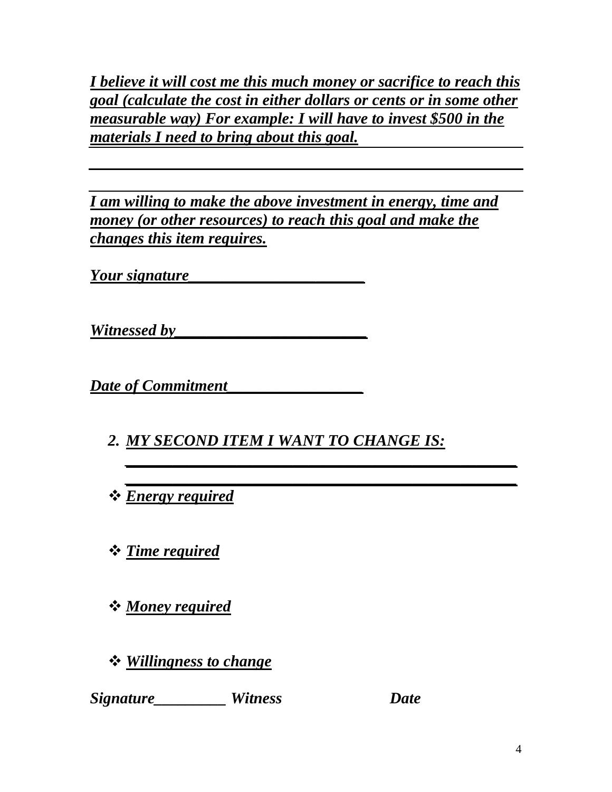*I believe it will cost me this much money or sacrifice to reach this goal (calculate the cost in either dollars or cents or in some other measurable way) For example: I will have to invest \$500 in the materials I need to bring about this goal.*

*I am willing to make the above investment in energy, time and money (or other resources) to reach this goal and make the changes this item requires.*

*Your signature\_\_\_\_\_\_\_\_\_\_\_\_\_\_\_\_\_\_\_\_\_\_*

*Witnessed by\_\_\_\_\_\_\_\_\_\_\_\_\_\_\_\_\_\_\_\_\_\_\_\_*

*Date of Commitment\_\_\_\_\_\_\_\_\_\_\_\_\_\_\_\_\_*

*2. MY SECOND ITEM I WANT TO CHANGE IS:* 

*\_\_\_\_\_\_\_\_\_\_\_\_\_\_\_\_\_\_\_\_\_\_\_\_\_\_\_\_\_\_\_\_\_\_\_\_\_\_\_\_\_\_\_\_\_\_\_\_\_*

*\_\_\_\_\_\_\_\_\_\_\_\_\_\_\_\_\_\_\_\_\_\_\_\_\_\_\_\_\_\_\_\_\_\_\_\_\_\_\_\_\_\_\_\_\_\_\_\_\_ Energy required*

*Time required* 

*Money required*

*Willingness to change*

*Signature\_\_\_\_\_\_\_\_\_ Witness Date*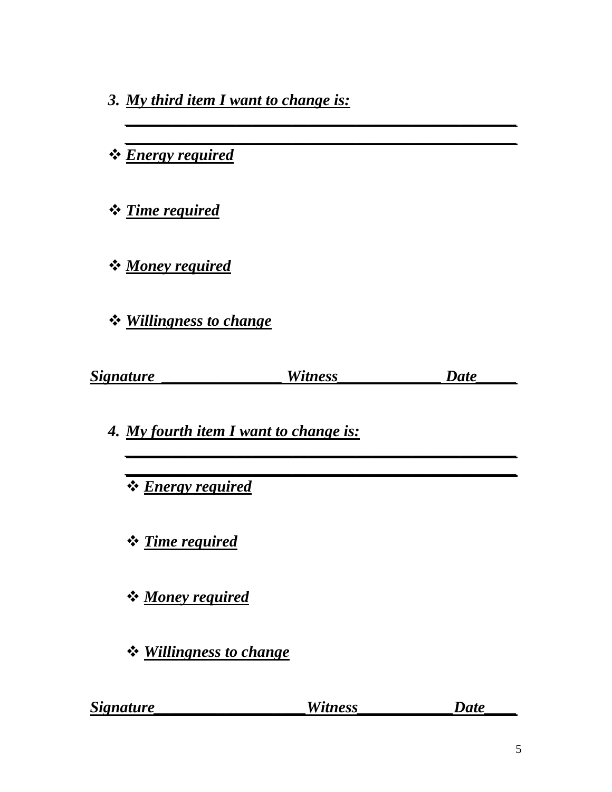*3. My third item I want to change is:* 

*Energy required*

*Time required*

*Money required*

*Willingness to change*

*Signature \_\_\_\_\_\_\_\_\_\_\_\_\_\_\_ Witness\_\_\_\_\_\_\_\_\_\_\_\_\_ Date\_\_\_\_\_*

*\_\_\_\_\_\_\_\_\_\_\_\_\_\_\_\_\_\_\_\_\_\_\_\_\_\_\_\_\_\_\_\_\_\_\_\_\_\_\_\_\_\_\_\_\_\_\_\_\_ \_\_\_\_\_\_\_\_\_\_\_\_\_\_\_\_\_\_\_\_\_\_\_\_\_\_\_\_\_\_\_\_\_\_\_\_\_\_\_\_\_\_\_\_\_\_\_\_\_*

*\_\_\_\_\_\_\_\_\_\_\_\_\_\_\_\_\_\_\_\_\_\_\_\_\_\_\_\_\_\_\_\_\_\_\_\_\_\_\_\_\_\_\_\_\_\_\_\_\_ \_\_\_\_\_\_\_\_\_\_\_\_\_\_\_\_\_\_\_\_\_\_\_\_\_\_\_\_\_\_\_\_\_\_\_\_\_\_\_\_\_\_\_\_\_\_\_\_\_*

*4. My fourth item I want to change is:* 

*Energy required*

*Time required*

*Money required*

*Willingness to change*

| <b>Signature</b><br>Witness<br>Date |  |
|-------------------------------------|--|
|-------------------------------------|--|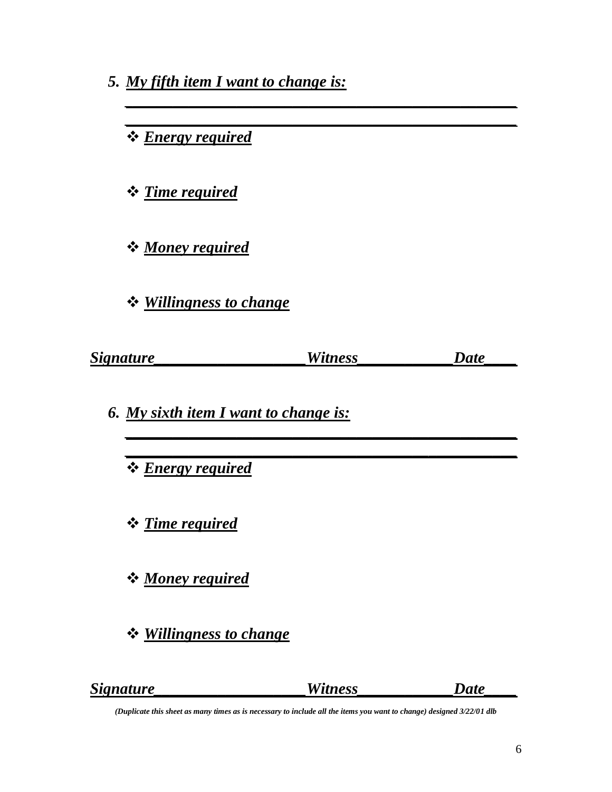*5. My fifth item I want to change is:* 

*Energy required*

*Time required*

*Money required*

*Willingness to change*

|  | <b>Signature</b> | <b>Witness</b> | Date |
|--|------------------|----------------|------|
|--|------------------|----------------|------|

*\_\_\_\_\_\_\_\_\_\_\_\_\_\_\_\_\_\_\_\_\_\_\_\_\_\_\_\_\_\_\_\_\_\_\_\_\_\_\_\_\_\_\_\_\_\_\_\_\_ \_\_\_\_\_\_\_\_\_\_\_\_\_\_\_\_\_\_\_\_\_\_\_\_\_\_\_\_\_\_\_\_\_\_\_\_\_\_\_\_\_\_\_\_\_\_\_\_\_*

*\_\_\_\_\_\_\_\_\_\_\_\_\_\_\_\_\_\_\_\_\_\_\_\_\_\_\_\_\_\_\_\_\_\_\_\_\_\_\_\_\_\_\_\_\_\_\_\_\_ \_\_\_\_\_\_\_\_\_\_\_\_\_\_\_\_\_\_\_\_\_\_\_\_\_\_\_\_\_\_\_\_\_\_\_\_\_\_\_\_\_\_\_\_\_\_\_\_\_*

*6. My sixth item I want to change is:* 

*Energy required*

*Time required*

*Money required*

*Willingness to change*

| <b>Signature</b> | W1<br>uness | <b>Jate</b> |
|------------------|-------------|-------------|
|                  |             |             |

*(Duplicate this sheet as many times as is necessary to include all the items you want to change) designed 3/22/01 dlb*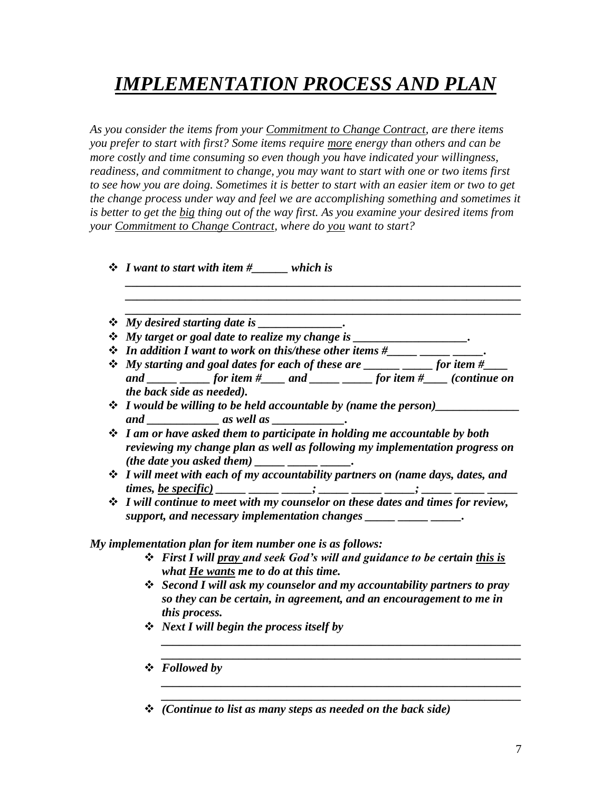## *IMPLEMENTATION PROCESS AND PLAN*

*As you consider the items from your Commitment to Change Contract, are there items you prefer to start with first? Some items require more energy than others and can be more costly and time consuming so even though you have indicated your willingness, readiness, and commitment to change, you may want to start with one or two items first to see how you are doing. Sometimes it is better to start with an easier item or two to get the change process under way and feel we are accomplishing something and sometimes it is better to get the big thing out of the way first. As you examine your desired items from your Commitment to Change Contract, where do you want to start?*

| $\Leftrightarrow$ My desired starting date is _____________.                                                                                                                                                                                                                                                                                                                   |  |  |  |
|--------------------------------------------------------------------------------------------------------------------------------------------------------------------------------------------------------------------------------------------------------------------------------------------------------------------------------------------------------------------------------|--|--|--|
| $\Leftrightarrow$ My target or goal date to realize my change is _________________.                                                                                                                                                                                                                                                                                            |  |  |  |
| $\div$ In addition I want to work on this/these other items $\#$ ___________________.                                                                                                                                                                                                                                                                                          |  |  |  |
|                                                                                                                                                                                                                                                                                                                                                                                |  |  |  |
| and ____________for item #_____ and __________________for item #_____(continue on                                                                                                                                                                                                                                                                                              |  |  |  |
| the back side as needed).                                                                                                                                                                                                                                                                                                                                                      |  |  |  |
| $\cdot \cdot$ I would be willing to be held accountable by (name the person)______                                                                                                                                                                                                                                                                                             |  |  |  |
|                                                                                                                                                                                                                                                                                                                                                                                |  |  |  |
|                                                                                                                                                                                                                                                                                                                                                                                |  |  |  |
|                                                                                                                                                                                                                                                                                                                                                                                |  |  |  |
| I am or have asked them to participate in holding me accountable by both                                                                                                                                                                                                                                                                                                       |  |  |  |
| reviewing my change plan as well as following my implementation progress on                                                                                                                                                                                                                                                                                                    |  |  |  |
| (the date you asked them) $\frac{1}{\cdot}$ $\frac{1}{\cdot}$ $\frac{1}{\cdot}$ $\cdot$                                                                                                                                                                                                                                                                                        |  |  |  |
| <b>☆</b> I will meet with each of my accountability partners on (name days, dates, and                                                                                                                                                                                                                                                                                         |  |  |  |
|                                                                                                                                                                                                                                                                                                                                                                                |  |  |  |
| $\div$ I will continue to meet with my counselor on these dates and times for review,                                                                                                                                                                                                                                                                                          |  |  |  |
| support, and necessary implementation changes $\frac{1}{\frac{1}{1-\frac{1}{1-\frac{1}{1-\frac{1}{1-\frac{1}{1-\frac{1}{1-\frac{1}{1-\frac{1}{1-\frac{1}{1-\frac{1}{1-\frac{1}{1-\frac{1}{1-\frac{1}{1-\frac{1}{1-\frac{1}{1-\frac{1}{1-\frac{1}{1-\frac{1}{1-\frac{1}{1-\frac{1}{1-\frac{1}{1-\frac{1}{1-\frac{1}{1-\frac{1}{1-\frac{1}{1-\frac{1}{1-\frac{1}{1-\frac{1}{1-\$ |  |  |  |
|                                                                                                                                                                                                                                                                                                                                                                                |  |  |  |
| My implementation plan for item number one is as follows:                                                                                                                                                                                                                                                                                                                      |  |  |  |
| <i><b>❖</b></i> First I will pray and seek God's will and guidance to be certain this is                                                                                                                                                                                                                                                                                       |  |  |  |
| what He wants me to do at this time.                                                                                                                                                                                                                                                                                                                                           |  |  |  |
| Second I will ask my counselor and my accountability partners to pray                                                                                                                                                                                                                                                                                                          |  |  |  |
| so they can be certain, in agreement, and an encouragement to me in<br>this process.                                                                                                                                                                                                                                                                                           |  |  |  |

*\_\_\_\_\_\_\_\_\_\_\_\_\_\_\_\_\_\_\_\_\_\_\_\_\_\_\_\_\_\_\_\_\_\_\_\_\_\_\_\_\_\_\_\_\_\_\_\_\_\_\_\_\_\_\_\_\_\_\_\_ (Continue to list as many steps as needed on the back side)*

*\_\_\_\_\_\_\_\_\_\_\_\_\_\_\_\_\_\_\_\_\_\_\_\_\_\_\_\_\_\_\_\_\_\_\_\_\_\_\_\_\_\_\_\_\_\_\_\_\_\_\_\_\_\_\_\_\_\_\_\_*